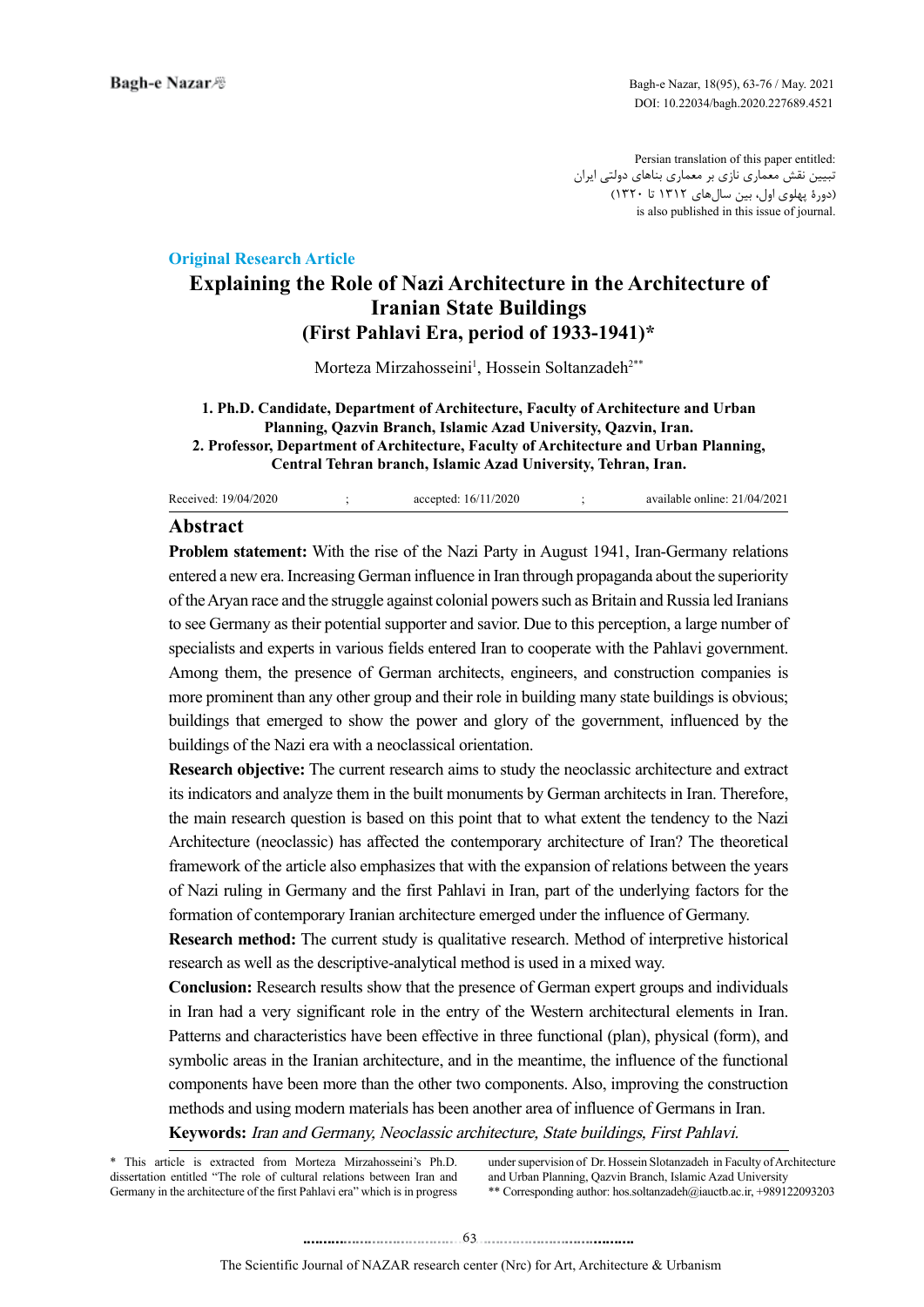Persian translation of this paper entitled: تبیین نقش معماری نازی بر معماری بناهای دولتی ایران )دورۀ پهلوی اول، بین سالهای 1312 تا 1320( is also published in this issue of journal.

## **Article Research Article**

# **Explaining the Role of Nazi Architecture in the Architecture of Iranian State Buildings (First Pahlavi Era, period of 1933-1941)\***

Morteza Mirzahosseini<sup>1</sup>, Hossein Soltanzadeh<sup>2\*\*</sup>

#### **1. Ph.D. Candidate, Department of Architecture. Faculty of Architecture and Urban Planning, Oazvin Branch, Islamic Azad University, Oazvin, Iran. 2. Professor, Department of Architecture, Faculty of Architecture and Urban Planning, Central Tehran branch, Islamic Azad University, Tehran, Iran.**

| Received: 19/04/2020 | accepted: 16/11/2020 | available online: 21/04/2021 |
|----------------------|----------------------|------------------------------|
|                      |                      |                              |

## **Abstract**

Problem statement: With the rise of the Nazi Party in August 1941, Iran-Germany relations entered a new era. Increasing German influence in Iran through propaganda about the superiority of the Aryan race and the struggle against colonial powers such as Britain and Russia led Iranians to see Germany as their potential supporter and savior. Due to this perception, a large number of specialists and experts in various fields entered Iran to cooperate with the Pahlavi government. Among them, the presence of German architects, engineers, and construction companies is more prominent than any other group and their role in building many state buildings is obvious; buildings that emerged to show the power and glory of the government, influenced by the buildings of the Nazi era with a neoclassical orientation.

**Research objective:** The current research aims to study the neoclassic architecture and extract its indicators and analyze them in the built monuments by German architects in Iran. Therefore, the main research question is based on this point that to what extent the tendency to the Nazi Architecture (neoclassic) has affected the contemporary architecture of Iran? The theoretical framework of the article also emphasizes that with the expansion of relations between the years of Nazi ruling in Germany and the first Pahlavi in Iran, part of the underlying factors for the formation of contemporary Iranian architecture emerged under the influence of Germany.

**Research method:** The current study is qualitative research. Method of interpretive historical research as well as the descriptive-analytical method is used in a mixed way.

**Conclusion:** Research results show that the presence of German expert groups and individuals in Iran had a very significant role in the entry of the Western architectural elements in Iran. Patterns and characteristics have been effective in three functional (plan), physical (form), and symbolic areas in the Iranian architecture, and in the meantime, the influence of the functional components have been more than the other two components. Also, improving the construction methods and using modern materials has been another area of influence of Germans in Iran. Keywords: Iran and Germany, Neoclassic architecture, State buildings, First Pahlavi.

\* This article is extracted from Morteza Mirzahosseini's Ph.D. dissertation entitled "The role of cultural relations between Iran and Germany in the architecture of the first Pahlavi era" which is in progress under supervision of Dr. Hossein Slotanzadeh in Faculty of Architecture and Urban Planning, Qazvin Branch, Islamic Azad University \*\* Corresponding author: hos soltanzadeh@iauctb.ac.ir, +989122093203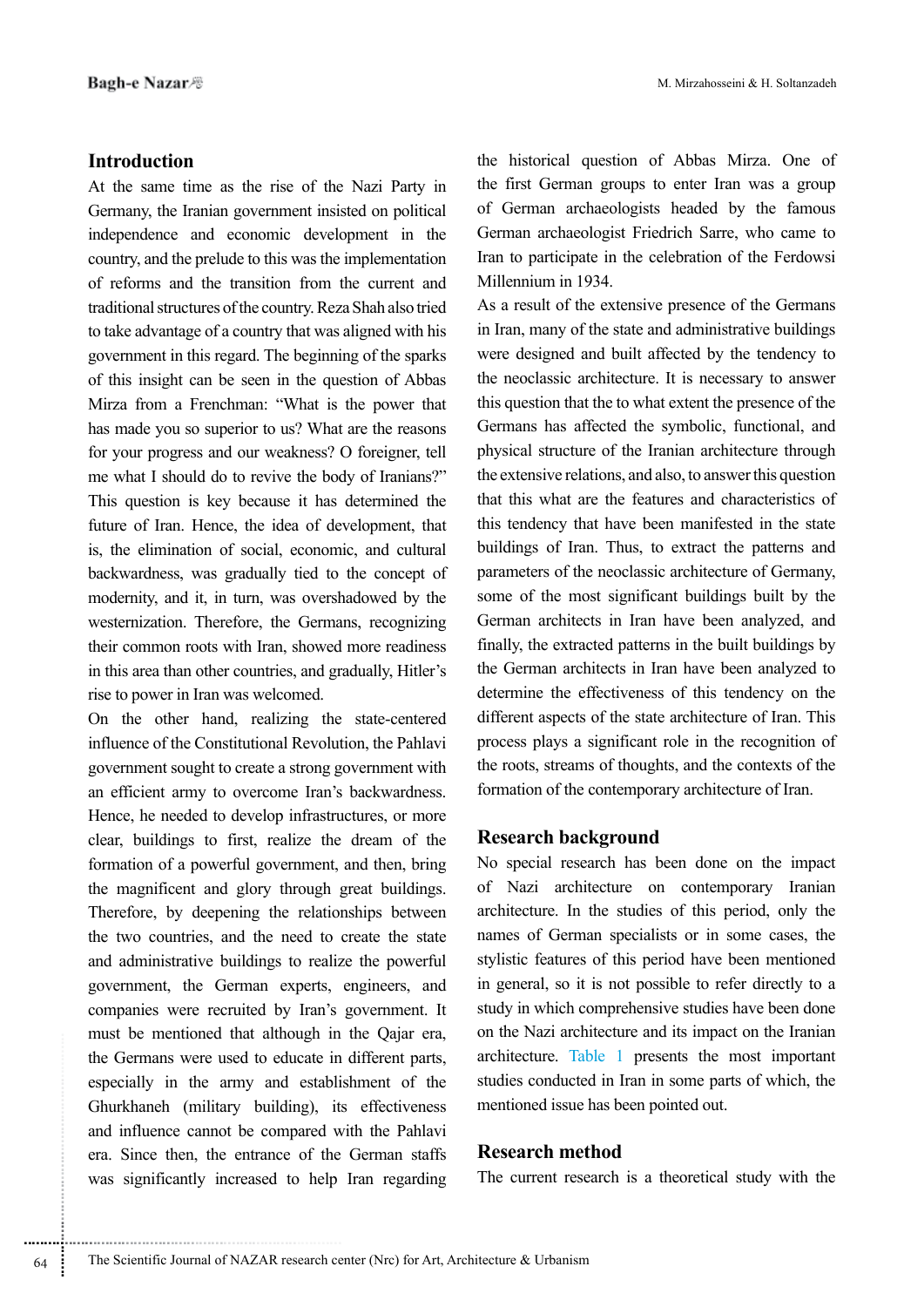# **Introduction**

At the same time as the rise of the Nazi Party in Germany, the Iranian government insisted on political independence and economic development in the country, and the prelude to this was the implementation of reforms and the transition from the current and traditional structures of the country. Reza Shah also tried to take advantage of a country that was aligned with his government in this regard. The beginning of the sparks of this insight can be seen in the question of Abbas Mirza from a Frenchman: "What is the power that has made you so superior to us? What are the reasons for your progress and our weakness? O foreigner, tell me what I should do to revive the body of Iranians?" This question is key because it has determined the future of Iran. Hence, the idea of development, that is, the elimination of social, economic, and cultural backwardness, was gradually tied to the concept of modernity, and it, in turn, was overshadowed by the westernization. Therefore, the Germans, recognizing their common roots with Iran, showed more readiness in this area than other countries, and gradually, Hitler's rise to power in Iran was welcomed.

On the other hand, realizing the state-centered influence of the Constitutional Revolution, the Pahlavi government sought to create a strong government with an efficient army to overcome Iran's backwardness. Hence, he needed to develop infrastructures, or more clear, buildings to first, realize the dream of the formation of a powerful government, and then, bring the magnificent and glory through great buildings. Therefore, by deepening the relationships between the two countries, and the need to create the state and administrative buildings to realize the powerful government, the German experts, engineers, and companies were recruited by Iran's government. It must be mentioned that although in the Qajar era, the Germans were used to educate in different parts, especially in the army and establishment of the Ghurkhaneh (military building), its effectiveness and influence cannot be compared with the Pahlavi era. Since then, the entrance of the German staffs was significantly increased to help Iran regarding the historical question of Abbas Mirza. One of the first German groups to enter Iran was a group of German archaeologists headed by the famous German archaeologist Friedrich Sarre, who came to Iran to participate in the celebration of the Ferdowsi Millennium in 1934

As a result of the extensive presence of the Germans in Iran, many of the state and administrative buildings were designed and built affected by the tendency to the neoclassic architecture. It is necessary to answer this question that the to what extent the presence of the Germans has affected the symbolic, functional, and physical structure of the Iranian architecture through the extensive relations, and also, to answer this question that this what are the features and characteristics of this tendency that have been manifested in the state buildings of Iran. Thus, to extract the patterns and parameters of the neoclassic architecture of Germany, some of the most significant buildings built by the German architects in Iran have been analyzed, and finally, the extracted patterns in the built buildings by the German architects in Iran have been analyzed to determine the effectiveness of this tendency on the different aspects of the state architecture of Iran. This process plays a significant role in the recognition of the roots, streams of thoughts, and the contexts of the formation of the contemporary architecture of Iran.

## **Research background**

No special research has been done on the impact of Nazi architecture on contemporary Iranian architecture. In the studies of this period, only the names of German specialists or in some cases, the stylistic features of this period have been mentioned in general, so it is not possible to refer directly to a study in which comprehensive studies have been done on the Nazi architecture and its impact on the Iranian architecture. Table 1 presents the most important studies conducted in Iran in some parts of which, the mentioned issue has been pointed out.

## **Research method**

The current research is a theoretical study with the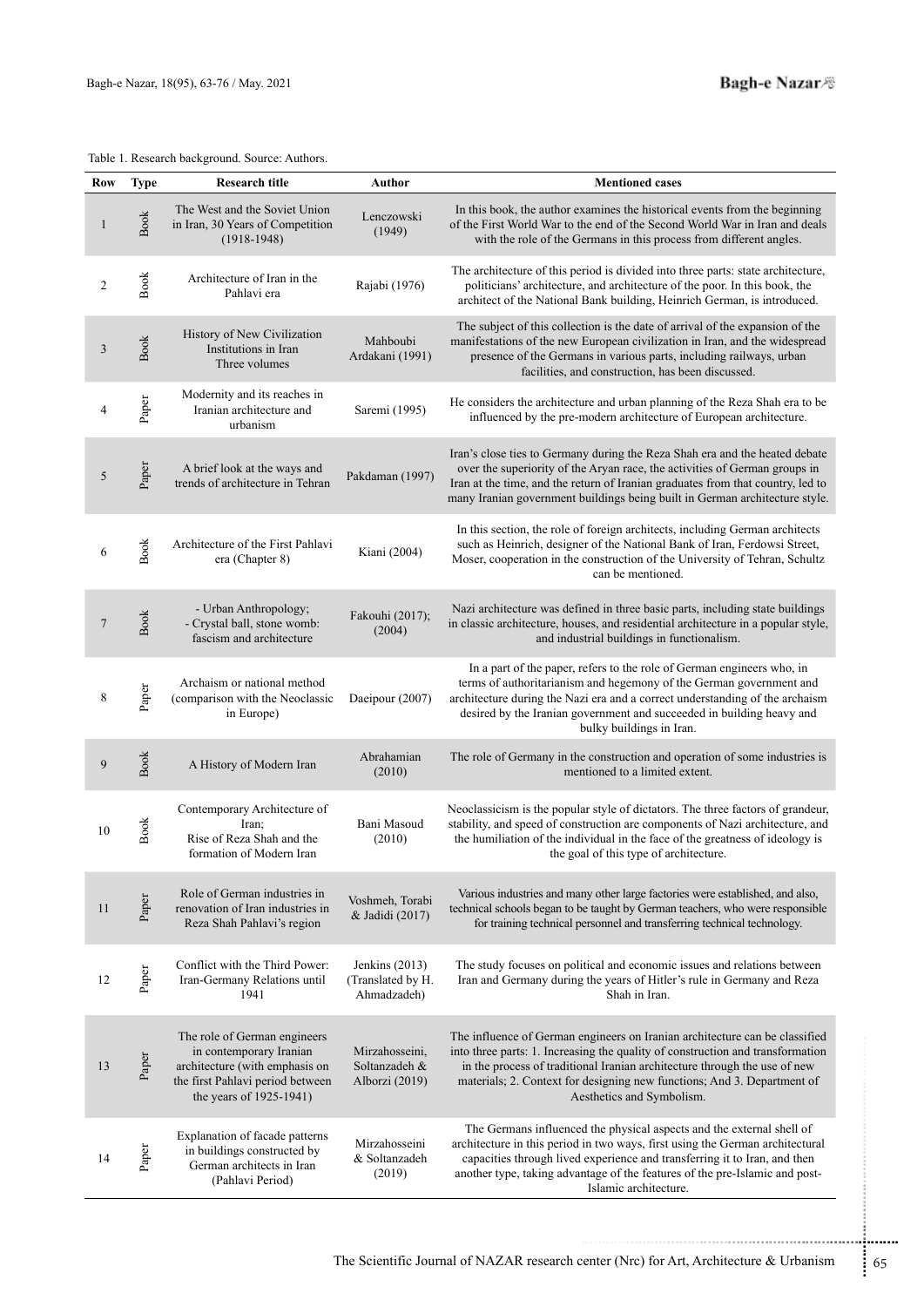| <b>Row</b>     | <b>Type</b> | <b>Research title</b>                                                                                                                                    | Author                                               | <b>Mentioned cases</b>                                                                                                                                                                                                                                                                                                                             |
|----------------|-------------|----------------------------------------------------------------------------------------------------------------------------------------------------------|------------------------------------------------------|----------------------------------------------------------------------------------------------------------------------------------------------------------------------------------------------------------------------------------------------------------------------------------------------------------------------------------------------------|
| $\mathbf{1}$   | <b>Book</b> | The West and the Soviet Union<br>in Iran, 30 Years of Competition<br>$(1918-1948)$                                                                       | Lenczowski<br>(1949)                                 | In this book, the author examines the historical events from the beginning<br>of the First World War to the end of the Second World War in Iran and deals<br>with the role of the Germans in this process from different angles.                                                                                                                   |
| $\overline{2}$ | Book        | Architecture of Iran in the<br>Pahlavi era                                                                                                               | Rajabi (1976)                                        | The architecture of this period is divided into three parts: state architecture,<br>politicians' architecture, and architecture of the poor. In this book, the<br>architect of the National Bank building, Heinrich German, is introduced.                                                                                                         |
| $\mathfrak{Z}$ | <b>Book</b> | History of New Civilization<br>Institutions in Iran<br>Three volumes                                                                                     | Mahboubi<br>Ardakani (1991)                          | The subject of this collection is the date of arrival of the expansion of the<br>manifestations of the new European civilization in Iran, and the widespread<br>presence of the Germans in various parts, including railways, urban<br>facilities, and construction, has been discussed.                                                           |
| 4              | Paper       | Modernity and its reaches in<br>Iranian architecture and<br>urbanism                                                                                     | Saremi (1995)                                        | He considers the architecture and urban planning of the Reza Shah era to be<br>influenced by the pre-modern architecture of European architecture.                                                                                                                                                                                                 |
| 5              | Paper       | A brief look at the ways and<br>trends of architecture in Tehran                                                                                         | Pakdaman (1997)                                      | Iran's close ties to Germany during the Reza Shah era and the heated debate<br>over the superiority of the Aryan race, the activities of German groups in<br>Iran at the time, and the return of Iranian graduates from that country, led to<br>many Iranian government buildings being built in German architecture style.                        |
| 6              | <b>Book</b> | Architecture of the First Pahlavi<br>era (Chapter 8)                                                                                                     | Kiani (2004)                                         | In this section, the role of foreign architects, including German architects<br>such as Heinrich, designer of the National Bank of Iran, Ferdowsi Street,<br>Moser, cooperation in the construction of the University of Tehran, Schultz<br>can be mentioned.                                                                                      |
| $\overline{7}$ | <b>Book</b> | - Urban Anthropology;<br>- Crystal ball, stone womb:<br>fascism and architecture                                                                         | Fakouhi (2017);<br>(2004)                            | Nazi architecture was defined in three basic parts, including state buildings<br>in classic architecture, houses, and residential architecture in a popular style,<br>and industrial buildings in functionalism.                                                                                                                                   |
| 8              | Paper       | Archaism or national method<br>(comparison with the Neoclassic<br>in Europe)                                                                             | Daeipour (2007)                                      | In a part of the paper, refers to the role of German engineers who, in<br>terms of authoritarianism and hegemony of the German government and<br>architecture during the Nazi era and a correct understanding of the archaism<br>desired by the Iranian government and succeeded in building heavy and<br>bulky buildings in Iran.                 |
| 9              | <b>Book</b> | A History of Modern Iran                                                                                                                                 | Abrahamian<br>(2010)                                 | The role of Germany in the construction and operation of some industries is<br>mentioned to a limited extent.                                                                                                                                                                                                                                      |
| 10             | <b>Book</b> | Contemporary Architecture of<br>Iran:<br>Rise of Reza Shah and the<br>formation of Modern Iran                                                           | Bani Masoud<br>(2010)                                | Neoclassicism is the popular style of dictators. The three factors of grandeur,<br>stability, and speed of construction are components of Nazi architecture, and<br>the humiliation of the individual in the face of the greatness of ideology is<br>the goal of this type of architecture.                                                        |
| 11             | Paper       | Role of German industries in<br>renovation of Iran industries in<br>Reza Shah Pahlavi's region                                                           | Voshmeh, Torabi<br>& Jadidi (2017)                   | Various industries and many other large factories were established, and also,<br>technical schools began to be taught by German teachers, who were responsible<br>for training technical personnel and transferring technical technology.                                                                                                          |
| 12             | Paper       | Conflict with the Third Power:<br>Iran-Germany Relations until<br>1941                                                                                   | Jenkins $(2013)$<br>(Translated by H.<br>Ahmadzadeh) | The study focuses on political and economic issues and relations between<br>Iran and Germany during the years of Hitler's rule in Germany and Reza<br>Shah in Iran.                                                                                                                                                                                |
| 13             | Paper       | The role of German engineers<br>in contemporary Iranian<br>architecture (with emphasis on<br>the first Pahlavi period between<br>the years of 1925-1941) | Mirzahosseini,<br>Soltanzadeh &<br>Alborzi (2019)    | The influence of German engineers on Iranian architecture can be classified<br>into three parts: 1. Increasing the quality of construction and transformation<br>in the process of traditional Iranian architecture through the use of new<br>materials; 2. Context for designing new functions; And 3. Department of<br>Aesthetics and Symbolism. |
| 14             | Paper       | Explanation of facade patterns<br>in buildings constructed by<br>German architects in Iran<br>(Pahlavi Period)                                           | Mirzahosseini<br>& Soltanzadeh<br>(2019)             | The Germans influenced the physical aspects and the external shell of<br>architecture in this period in two ways, first using the German architectural<br>capacities through lived experience and transferring it to Iran, and then<br>another type, taking advantage of the features of the pre-Islamic and post-<br>Islamic architecture.        |

The Scientific Journal of NAZAR research center (Nrc) for Art, Architecture & Urbanism  $65$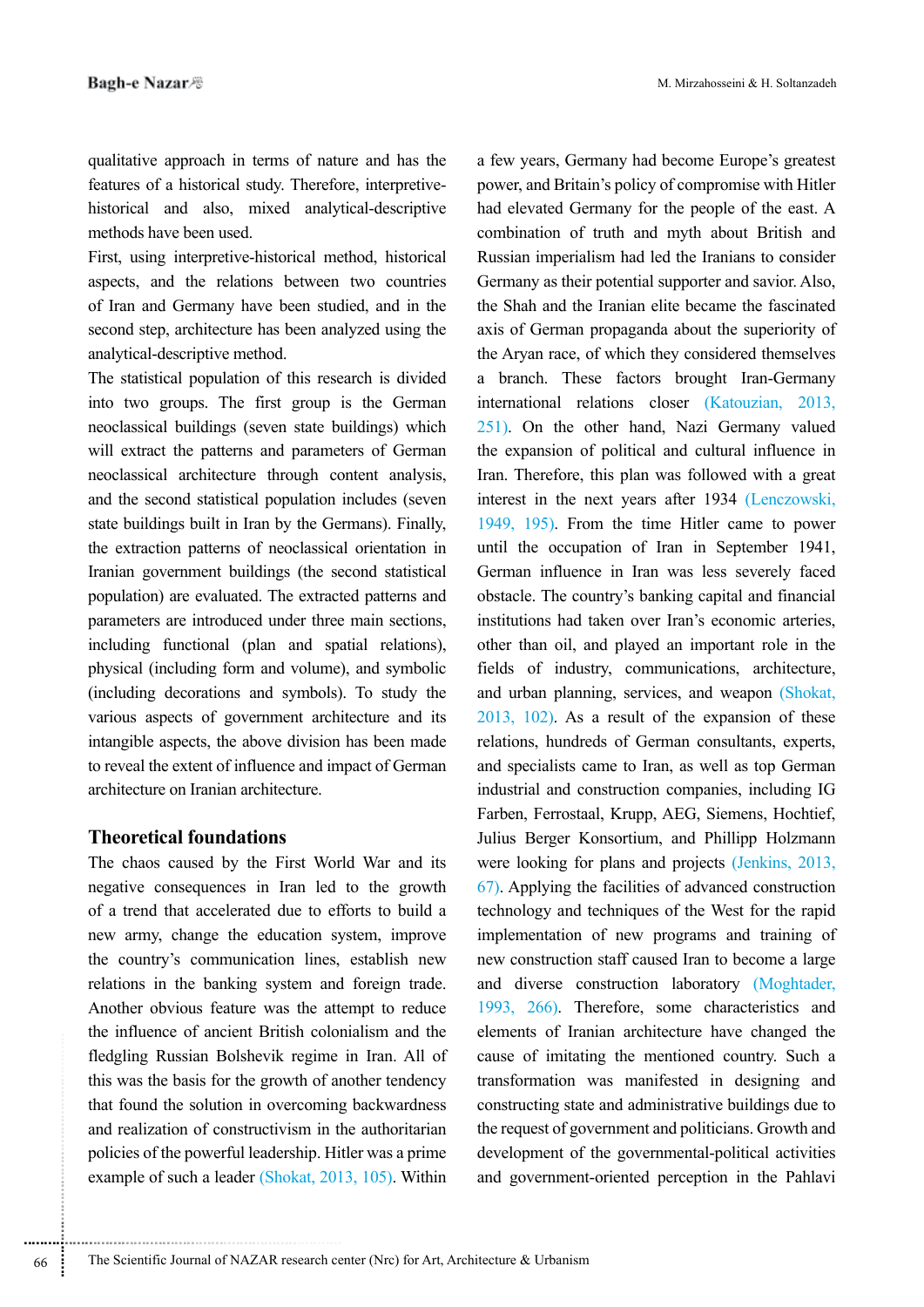qualitative approach in terms of nature and has the historical and also, mixed analytical-descriptive features of a historical study. Therefore, interpretivemethods have been used.

First, using interpretive-historical method, historical aspects, and the relations between two countries of Iran and Germany have been studied, and in the second step, architecture has been analyzed using the analytical-descriptive method.

The statistical population of this research is divided into two groups. The first group is the German neoclassical buildings (seven state buildings) which will extract the patterns and parameters of German neoclassical architecture through content analysis, and the second statistical population includes (seven state buildings built in Iran by the Germans). Finally, the extraction patterns of neoclassical orientation in Iranian government buildings (the second statistical population) are evaluated. The extracted patterns and parameters are introduced under three main sections, including functional (plan and spatial relations), physical (including form and volume), and symbolic (including decorations and symbols). To study the various aspects of government architecture and its intangible aspects, the above division has been made to reveal the extent of influence and impact of German architecture on Iranian architecture

# **Theoretical foundations**

The chaos caused by the First World War and its negative consequences in Iran led to the growth of a trend that accelerated due to efforts to build a new army, change the education system, improve the country's communication lines, establish new relations in the banking system and foreign trade. Another obvious feature was the attempt to reduce the influence of ancient British colonialism and the fledgling Russian Bolshevik regime in Iran. All of this was the basis for the growth of another tendency that found the solution in overcoming backwardness and realization of constructivism in the authoritarian policies of the powerful leadership. Hitler was a prime example of such a leader (Shokat,  $2013$ ,  $105$ ). Within

a few years, Germany had become Europe's greatest power, and Britain's policy of compromise with Hitler had elevated Germany for the people of the east. A combination of truth and myth about British and Russian imperialism had led the Iranians to consider Germany as their potential supporter and savior. Also, the Shah and the Iranian elite became the fascinated axis of German propaganda about the superiority of the Aryan race, of which they considered themselves a branch. These factors brought Iran-Germany international relations closer (Katouzian, 2013,  $251$ ). On the other hand, Nazi Germany valued the expansion of political and cultural influence in Iran. Therefore, this plan was followed with a great interest in the next years after 1934 (Lenczowski, 1949, 195). From the time Hitler came to power until the occupation of Iran in September 1941, German influence in Iran was less severely faced obstacle. The country's banking capital and financial institutions had taken over Iran's economic arteries, other than oil, and played an important role in the fields of industry, communications, architecture, and urban planning, services, and weapon (Shokat,  $2013$ ,  $102$ ). As a result of the expansion of these relations, hundreds of German consultants, experts, and specialists came to Iran, as well as top German industrial and construction companies, including IG Farben, Ferrostaal, Krupp, AEG, Siemens, Hochtief, Julius Berger Konsortium, and Phillipp Holzmann were looking for plans and projects  $(Jenkins, 2013,$  $(67)$ . Applying the facilities of advanced construction technology and techniques of the West for the rapid implementation of new programs and training of new construction staff caused Iran to become a large and diverse construction laboratory (Moghtader, 1993, 266). Therefore, some characteristics and elements of Iranian architecture have changed the cause of imitating the mentioned country. Such a transformation was manifested in designing and constructing state and administrative buildings due to the request of government and politicians. Growth and development of the governmental-political activities and government-oriented perception in the Pahlavi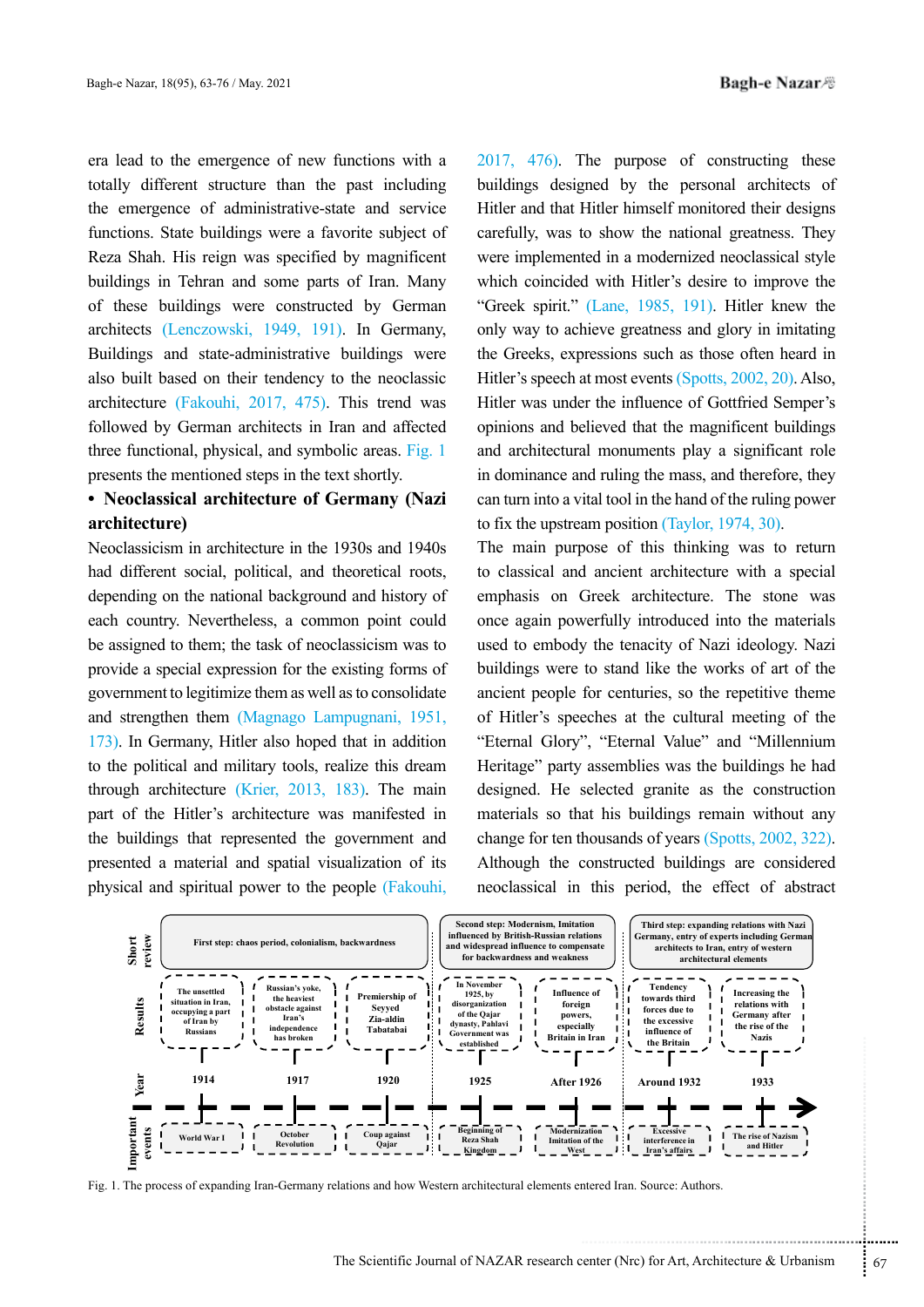era lead to the emergence of new functions with a totally different structure than the past including the emergence of administrative-state and service functions. State buildings were a favorite subject of Reza Shah. His reign was specified by magnificent buildings in Tehran and some parts of Iran. Many of these buildings were constructed by German architects (Lenczowski, 1949, 191). In Germany, Buildings and state-administrative buildings were also built based on their tendency to the neoclassic architecture (Fakouhi, 2017, 475). This trend was followed by German architects in Iran and affected three functional, physical, and symbolic areas. Fig. 1 presents the mentioned steps in the text shortly.

# **• Neoclassical architecture of Germany (Nazi (architecture**

Neoclassicism in architecture in the 1930s and 1940s had different social, political, and theoretical roots. depending on the national background and history of each country. Nevertheless, a common point could be assigned to them; the task of neoclassicism was to provide a special expression for the existing forms of government to legitimize them as well as to consolidate and strengthen them (Magnago Lampugnani, 1951, 173). In Germany, Hitler also hoped that in addition to the political and military tools, realize this dream through architecture (Krier,  $2013$ ,  $183$ ). The main part of the Hitler's architecture was manifested in the buildings that represented the government and presented a material and spatial visualization of its physical and spiritual power to the people (Fakouhi,

 $2017$ ,  $476$ ). The purpose of constructing these buildings designed by the personal architects of Hitler and that Hitler himself monitored their designs carefully, was to show the national greatness. They were implemented in a modernized neoclassical style which coincided with Hitler's desire to improve the "Greek spirit."  $(Lane, 1985, 191)$ . Hitler knew the only way to achieve greatness and glory in imitating the Greeks, expressions such as those often heard in Hitler's speech at most events (Spotts, 2002, 20). Also, Hitler was under the influence of Gottfried Semper's opinions and believed that the magnificent buildings and architectural monuments play a significant role in dominance and ruling the mass, and therefore, they can turn into a vital tool in the hand of the ruling power to fix the upstream position (Taylor,  $1974, 30$ ).

The main purpose of this thinking was to return to classical and ancient architecture with a special emphasis on Greek architecture. The stone was once again powerfully introduced into the materials used to embody the tenacity of Nazi ideology. Nazi buildings were to stand like the works of art of the ancient people for centuries, so the repetitive theme of Hitler's speeches at the cultural meeting of the "Eternal Glory", "Eternal Value" and "Millennium Heritage" party assemblies was the buildings he had designed. He selected granite as the construction materials so that his buildings remain without any change for ten thousands of years  $(Sports, 2002, 322)$ . Although the constructed buildings are considered neoclassical in this period, the effect of abstract



Fig. 1. The process of expanding Iran-Germany relations and how Western architectural elements entered Iran. Source: Authors.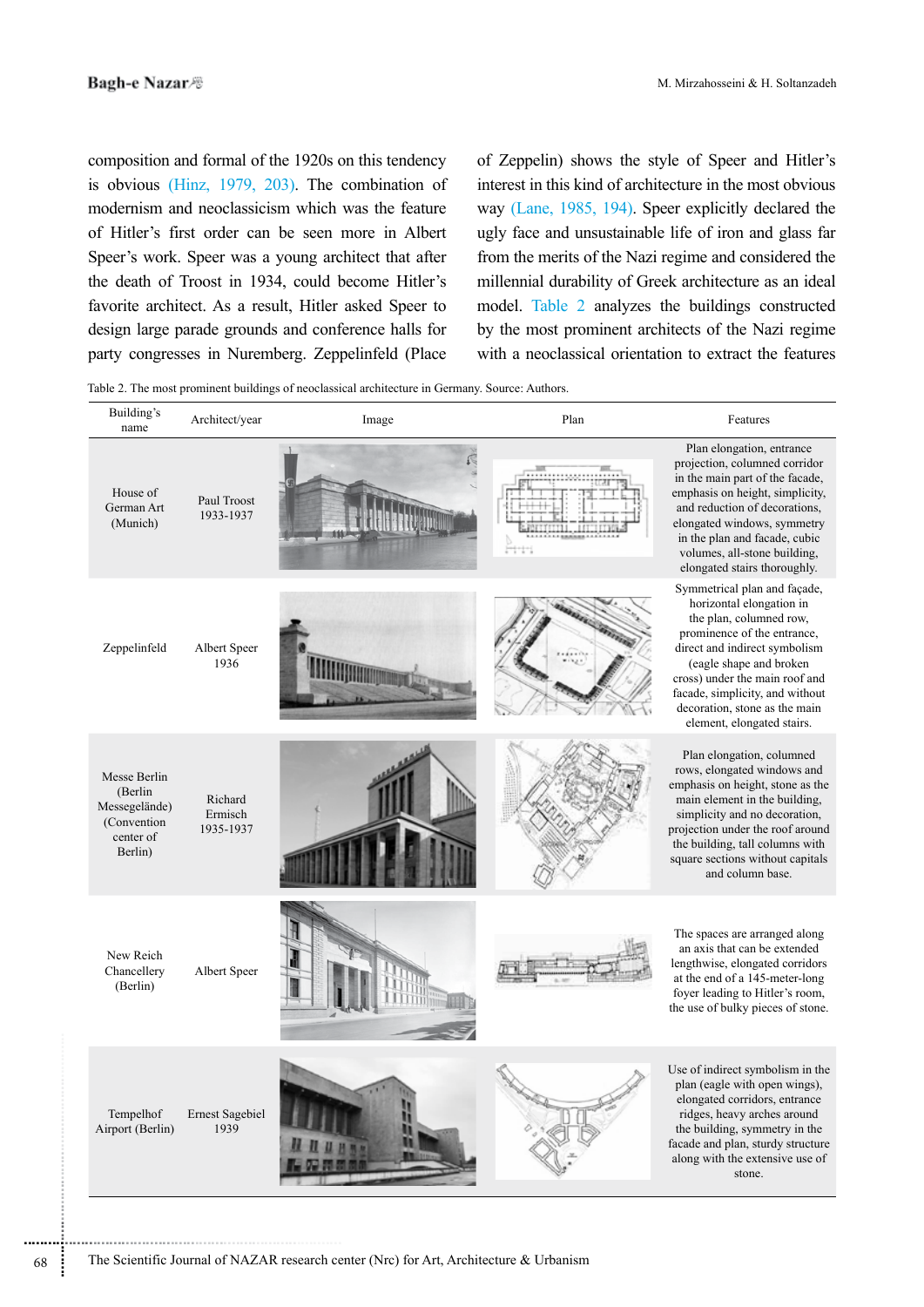composition and formal of the 1920s on this tendency is obvious  $(Hinz, 1979, 203)$ . The combination of modernism and neoclassicism which was the feature of Hitler's first order can be seen more in Albert Speer's work. Speer was a young architect that after the death of Troost in 1934, could become Hitler's favorite architect. As a result, Hitler asked Speer to design large parade grounds and conference halls for party congresses in Nuremberg. Zeppelinfeld (Place

of Zeppelin) shows the style of Speer and Hitler's interest in this kind of architecture in the most obvious way (Lane, 1985, 194). Speer explicitly declared the ugly face and unsustainable life of iron and glass far from the merits of the Nazi regime and considered the millennial durability of Greek architecture as an ideal model. Table 2 analyzes the buildings constructed by the most prominent architects of the Nazi regime with a neoclassical orientation to extract the features

Table 2. The most prominent buildings of neoclassical architecture in Germany. Source: Authors.

| Building's<br>name                                                               | Architect/year                  | Image | Plan | Features                                                                                                                                                                                                                                                                                                           |
|----------------------------------------------------------------------------------|---------------------------------|-------|------|--------------------------------------------------------------------------------------------------------------------------------------------------------------------------------------------------------------------------------------------------------------------------------------------------------------------|
| House of<br>German Art<br>(Munich)                                               | Paul Troost<br>1933-1937        |       |      | Plan elongation, entrance<br>projection, columned corridor<br>in the main part of the facade,<br>emphasis on height, simplicity,<br>and reduction of decorations,<br>elongated windows, symmetry<br>in the plan and facade, cubic<br>volumes, all-stone building,<br>elongated stairs thoroughly.                  |
| Zeppelinfeld                                                                     | Albert Speer<br>1936            |       |      | Symmetrical plan and façade,<br>horizontal elongation in<br>the plan, columned row,<br>prominence of the entrance,<br>direct and indirect symbolism<br>(eagle shape and broken<br>cross) under the main roof and<br>facade, simplicity, and without<br>decoration, stone as the main<br>element, elongated stairs. |
| Messe Berlin<br>(Berlin<br>Messegelände)<br>(Convention)<br>center of<br>Berlin) | Richard<br>Ermisch<br>1935-1937 |       |      | Plan elongation, columned<br>rows, elongated windows and<br>emphasis on height, stone as the<br>main element in the building,<br>simplicity and no decoration,<br>projection under the roof around<br>the building, tall columns with<br>square sections without capitals<br>and column base.                      |
| New Reich<br>Chancellery<br>(Berlin)                                             | Albert Speer                    |       |      | The spaces are arranged along<br>an axis that can be extended<br>lengthwise, elongated corridors<br>at the end of a 145-meter-long<br>foyer leading to Hitler's room,<br>the use of bulky pieces of stone.                                                                                                         |
| Tempelhof<br>Airport (Berlin)                                                    | <b>Ernest Sagebiel</b><br>1939  |       |      | Use of indirect symbolism in the<br>plan (eagle with open wings),<br>elongated corridors, entrance<br>ridges, heavy arches around<br>the building, symmetry in the<br>facade and plan, sturdy structure<br>along with the extensive use of<br>stone.                                                               |

............................................................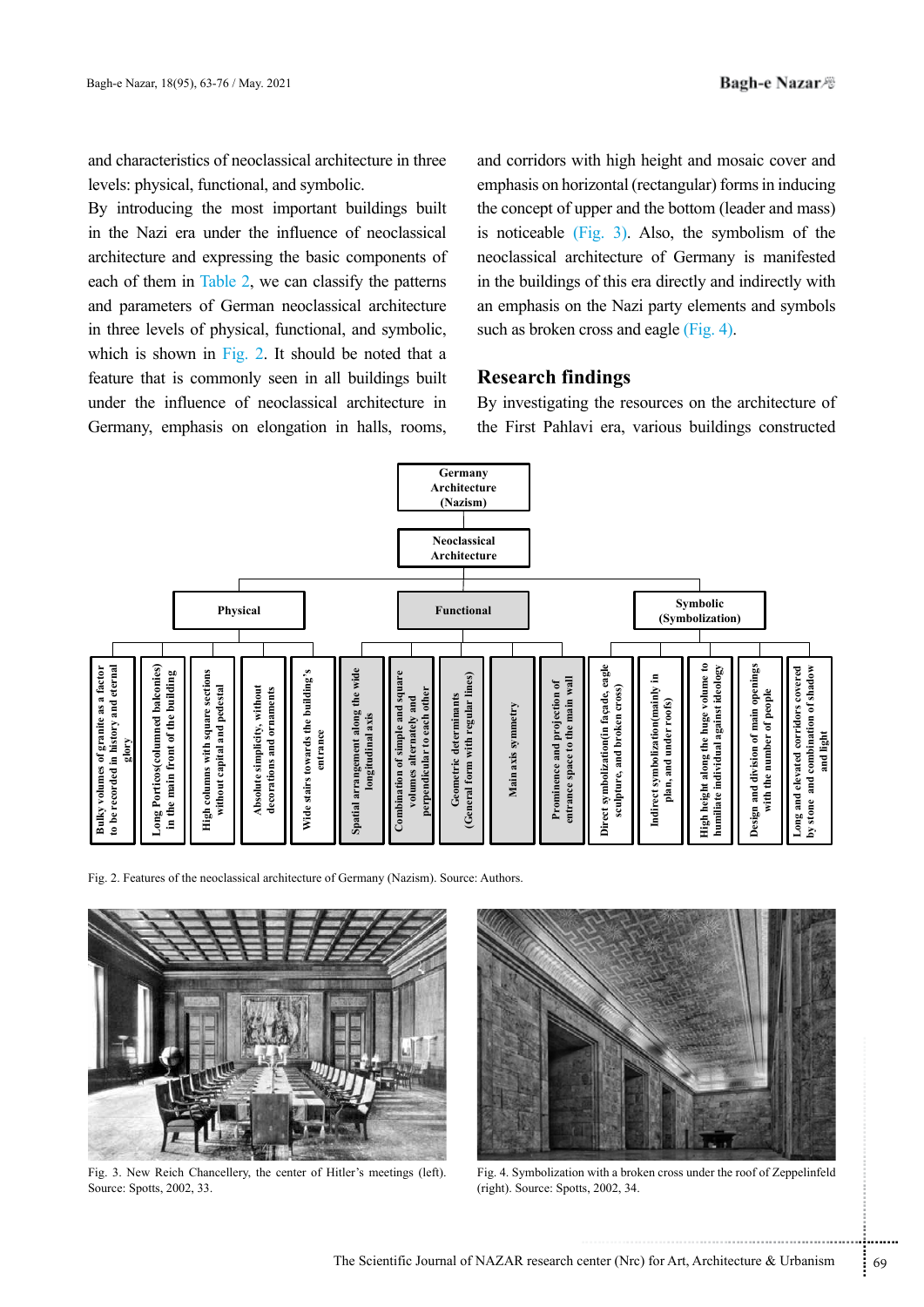and characteristics of neoclassical architecture in three levels: physical, functional, and symbolic.

By introducing the most important buildings built in the Nazi era under the influence of neoclassical architecture and expressing the basic components of each of them in Table 2, we can classify the patterns and parameters of German neoclassical architecture in three levels of physical, functional, and symbolic, which is shown in Fig. 2. It should be noted that a feature that is commonly seen in all buildings built under the influence of neoclassical architecture in Germany, emphasis on elongation in halls, rooms,

and corridors with high height and mosaic cover and emphasis on horizontal (rectangular) forms in inducing the concept of upper and the bottom (leader and mass) is noticeable  $(Fig. 3)$ . Also, the symbolism of the neoclassical architecture of Germany is manifested in the buildings of this era directly and indirectly with an emphasis on the Nazi party elements and symbols such as broken cross and eagle  $(Fig. 4)$ .

## **Research findings**

By investigating the resources on the architecture of the First Pahlavi era, various buildings constructed



Fig. 2. Features of the neoclassical architecture of Germany (Nazism). Source: Authors.



Fig. 3. New Reich Chancellery, the center of Hitler's meetings (left). Source: Spotts, 2002, 33.



Fig. 4. Symbolization with a broken cross under the roof of Zeppelinfeld (right). Source: Spotts, 2002, 34.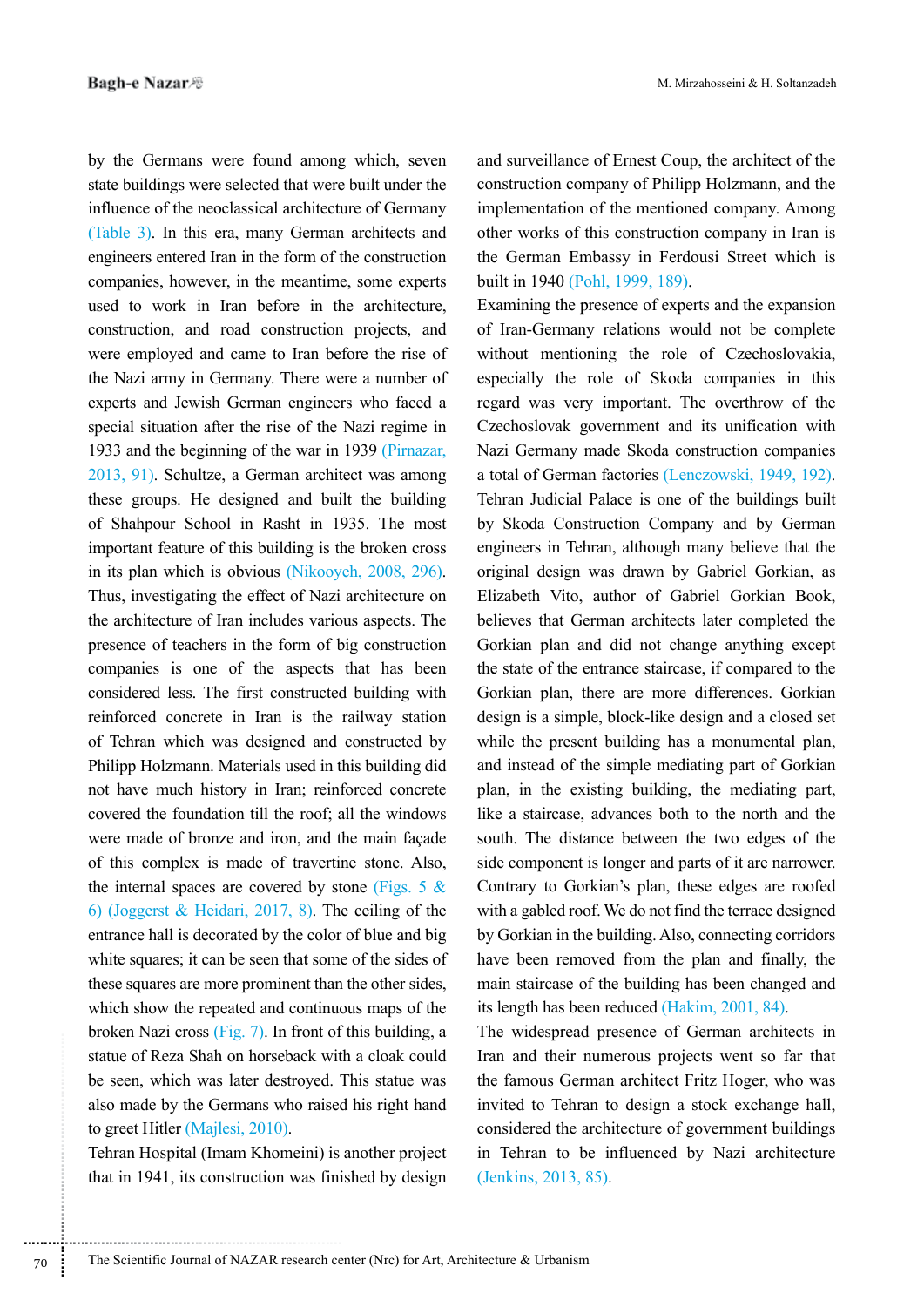by the Germans were found among which, seven state buildings were selected that were built under the influence of the neoclassical architecture of Germany (Table  $3$ ). In this era, many German architects and engineers entered Iran in the form of the construction companies, however, in the meantime, some experts used to work in Iran before in the architecture. construction, and road construction projects, and were employed and came to Iran before the rise of the Nazi army in Germany. There were a number of experts and Jewish German engineers who faced a special situation after the rise of the Nazi regime in 1933 and the beginning of the war in 1939 (Pirnazar, 2013, 91). Schultze, a German architect was among these groups. He designed and built the building of Shahpour School in Rasht in 1935. The most important feature of this building is the broken cross in its plan which is obvious (Nikooyeh,  $2008$ ,  $296$ ). Thus, investigating the effect of Nazi architecture on the architecture of Iran includes various aspects. The presence of teachers in the form of big construction companies is one of the aspects that has been considered less. The first constructed building with reinforced concrete in Iran is the railway station of Tehran which was designed and constructed by Philipp Holzmann. Materials used in this building did not have much history in Iran; reinforced concrete covered the foundation till the roof; all the windows were made of bronze and iron, and the main façade of this complex is made of travertine stone. Also, the internal spaces are covered by stone (Figs. 5  $\&$ 6) (Joggerst & Heidari, 2017, 8). The ceiling of the entrance hall is decorated by the color of blue and big white squares; it can be seen that some of the sides of these squares are more prominent than the other sides, which show the repeated and continuous maps of the broken Nazi cross  $(Fig. 7)$ . In front of this building, a statue of Reza Shah on horseback with a cloak could be seen, which was later destroyed. This statue was also made by the Germans who raised his right hand to greet Hitler (Majlesi, 2010).

Tehran Hospital (Imam Khomeini) is another project that in 1941, its construction was finished by design

and surveillance of Ernest Coup, the architect of the construction company of Philipp Holzmann, and the implementation of the mentioned company. Among other works of this construction company in Iran is the German Embassy in Ferdousi Street which is built in 1940 (Pohl. 1999, 189).

Examining the presence of experts and the expansion of Iran-Germany relations would not be complete without mentioning the role of Czechoslovakia, especially the role of Skoda companies in this regard was very important. The overthrow of the Czechoslovak government and its unification with Nazi Germany made Skoda construction companies a total of German factories (Lenczowski, 1949, 192). Tehran Judicial Palace is one of the buildings built by Skoda Construction Company and by German engineers in Tehran, although many believe that the original design was drawn by Gabriel Gorkian, as Elizabeth Vito, author of Gabriel Gorkian Book, believes that German architects later completed the Gorkian plan and did not change anything except the state of the entrance staircase, if compared to the Gorkian plan, there are more differences. Gorkian design is a simple, block-like design and a closed set while the present building has a monumental plan, and instead of the simple mediating part of Gorkian plan, in the existing building, the mediating part, like a staircase, advances both to the north and the south. The distance between the two edges of the side component is longer and parts of it are narrower. Contrary to Gorkian's plan, these edges are roofed with a gabled roof. We do not find the terrace designed by Gorkian in the building. Also, connecting corridors have been removed from the plan and finally, the main staircase of the building has been changed and its length has been reduced (Hakim,  $2001$ ,  $84$ ).

The widespread presence of German architects in Iran and their numerous projects went so far that the famous German architect Fritz Hoger, who was invited to Tehran to design a stock exchange hall, considered the architecture of government buildings in Tehran to be influenced by Nazi architecture  $(Jenkins, 2013, 85)$ .

............................................................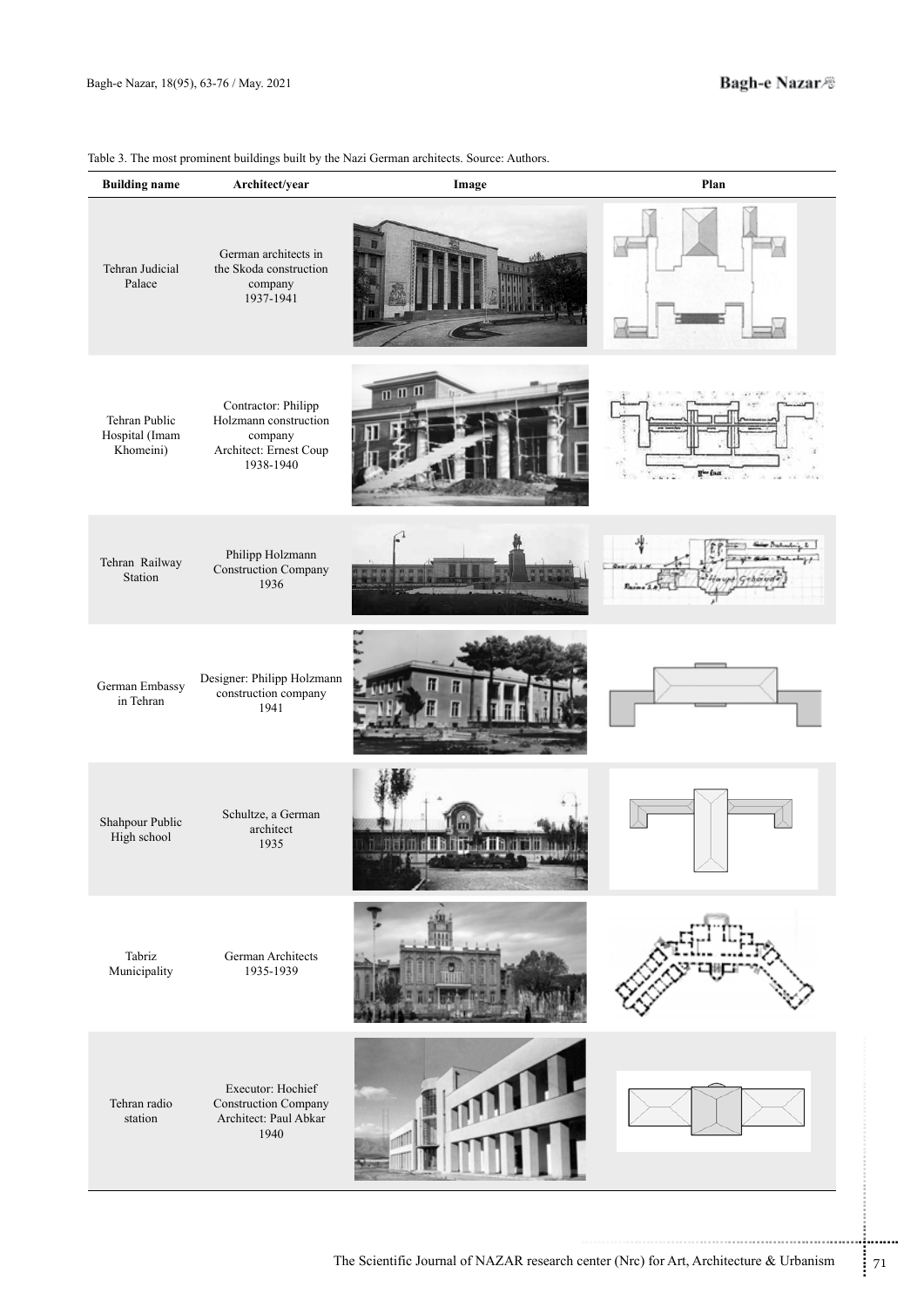| Table 3. The most prominent buildings built by the Nazi German architects. Source: Authors. |  |  |  |  |
|---------------------------------------------------------------------------------------------|--|--|--|--|
|---------------------------------------------------------------------------------------------|--|--|--|--|

| <b>Building name</b>                         | Architect/year                                                                                 | Image                                                                                  | Plan                                                 |
|----------------------------------------------|------------------------------------------------------------------------------------------------|----------------------------------------------------------------------------------------|------------------------------------------------------|
| Tehran Judicial<br>Palace                    | German architects in<br>the Skoda construction<br>company<br>1937-1941                         |                                                                                        |                                                      |
| Tehran Public<br>Hospital (Imam<br>Khomeini) | Contractor: Philipp<br>Holzmann construction<br>company<br>Architect: Ernest Coup<br>1938-1940 | $m \, m \, m$                                                                          | $\mathbf{R}^{\mathbf{L}}$ from<br>19.<br>$100 - 100$ |
| Tehran Railway<br>Station                    | Philipp Holzmann<br><b>Construction Company</b><br>1936                                        |                                                                                        | $\overline{b}$<br>أعريسه<br>$1. C$ ebo               |
| German Embassy<br>in Tehran                  | Designer: Philipp Holzmann<br>construction company<br>1941                                     |                                                                                        |                                                      |
| Shahpour Public<br>High school               | Schultze, a German<br>architect<br>1935                                                        | n a neussan a n                                                                        |                                                      |
| Tabriz<br>Municipality                       | German Architects<br>1935-1939                                                                 |                                                                                        |                                                      |
| Tehran radio<br>station                      | Executor: Hochief<br><b>Construction Company</b><br>Architect: Paul Abkar<br>1940              |                                                                                        |                                                      |
|                                              |                                                                                                | The Scientific Journal of NAZAR research center (Nrc) for Art, Architecture & Urbanism |                                                      |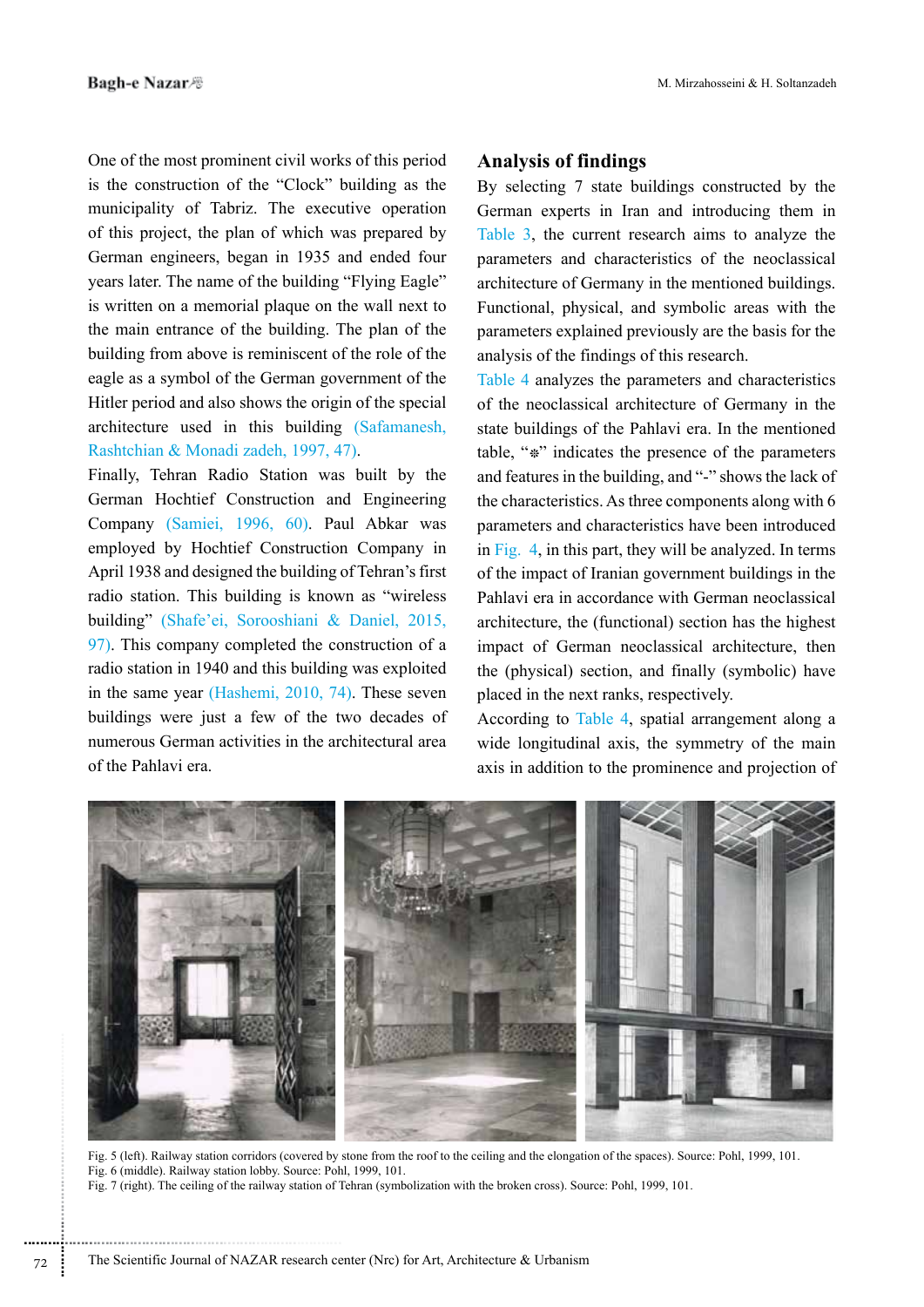One of the most prominent civil works of this period is the construction of the "Clock" building as the municipality of Tabriz. The executive operation of this project, the plan of which was prepared by German engineers, began in 1935 and ended four years later. The name of the building "Flying Eagle" is written on a memorial plaque on the wall next to the main entrance of the building. The plan of the building from above is reminiscent of the role of the eagle as a symbol of the German government of the Hitler period and also shows the origin of the special architecture used in this building (Safamanesh, Rashtchian & Monadi zadeh, 1997, 47).

Finally, Tehran Radio Station was built by the German Hochtief Construction and Engineering Company (Samiei, 1996, 60). Paul Abkar was employed by Hochtief Construction Company in April 1938 and designed the building of Tehran's first radio station. This building is known as "wireless" building" (Shafe'ei, Sorooshiani & Daniel, 2015,  $97$ . This company completed the construction of a radio station in 1940 and this building was exploited in the same year  $(Hashemi, 2010, 74)$ . These seven buildings were just a few of the two decades of numerous German activities in the architectural area of the Pahlavi era.

## **Analysis of findings**

By selecting 7 state buildings constructed by the German experts in Iran and introducing them in Table  $3$ , the current research aims to analyze the parameters and characteristics of the neoclassical architecture of Germany in the mentioned buildings. Functional, physical, and symbolic areas with the parameters explained previously are the basis for the analysis of the findings of this research.

Table 4 analyzes the parameters and characteristics of the neoclassical architecture of Germany in the state buildings of the Pahlavi era. In the mentioned table, " $*$ " indicates the presence of the parameters and features in the building, and "-" shows the lack of the characteristics. As three components along with  $6$ parameters and characteristics have been introduced in  $\overline{Fig. 4}$ , in this part, they will be analyzed. In terms of the impact of Iranian government buildings in the Pahlavi era in accordance with German neoclassical architecture, the (functional) section has the highest impact of German neoclassical architecture, then the (physical) section, and finally (symbolic) have placed in the next ranks, respectively.

According to Table 4, spatial arrangement along a wide longitudinal axis, the symmetry of the main axis in addition to the prominence and projection of



Fig. 5 (left). Railway station corridors (covered by stone from the roof to the ceiling and the elongation of the spaces). Source: Pohl, 1999, 101. Fig. 6 (middle). Railway station lobby. Source: Pohl, 1999, 101. Fig. 7 (right). The ceiling of the railway station of Tehran (symbolization with the broken cross). Source: Pohl. 1999, 101.

............................................................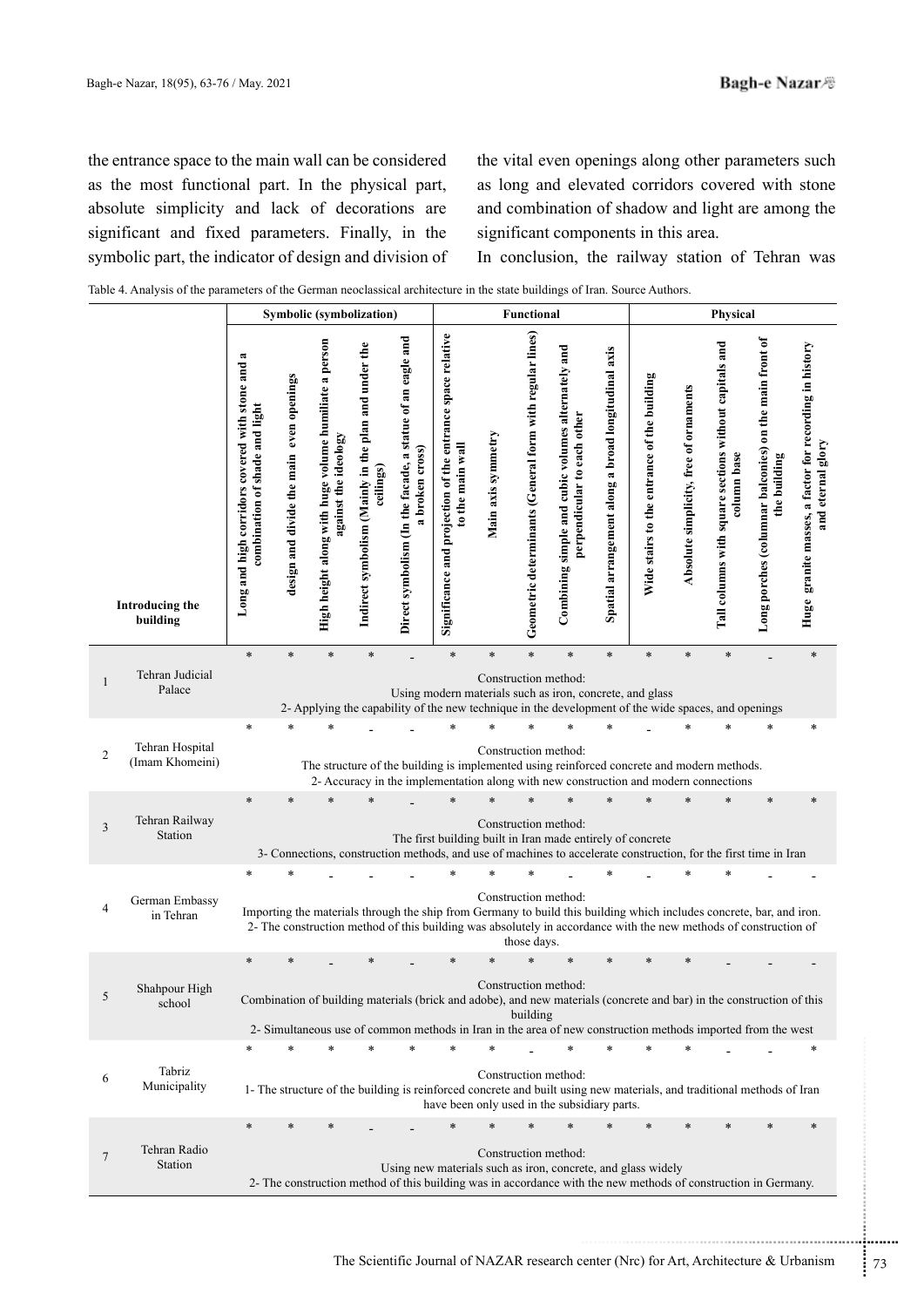the entrance space to the main wall can be considered as the most functional part. In the physical part, absolute simplicity and lack of decorations are significant and fixed parameters. Finally, in the symbolic part, the indicator of design and division of the vital even openings along other parameters such as long and elevated corridors covered with stone and combination of shadow and light are among the significant components in this area.

In conclusion, the railway station of Tehran was

| Table 4. Analysis of the parameters of the German neoclassical architecture in the state buildings of Iran. Source Authors. |  |  |
|-----------------------------------------------------------------------------------------------------------------------------|--|--|
|                                                                                                                             |  |  |
|                                                                                                                             |  |  |

|                                                      |                                                                                               |                                          |                                                                              | Symbolic (symbolization)                                          |                                                                              |                                                                                |                    | Functional                                               |                                                                                                                                                                                                                                                                  |                                                     |                                             |                                        | Physical                                                              |                                                                        |                                                                             |
|------------------------------------------------------|-----------------------------------------------------------------------------------------------|------------------------------------------|------------------------------------------------------------------------------|-------------------------------------------------------------------|------------------------------------------------------------------------------|--------------------------------------------------------------------------------|--------------------|----------------------------------------------------------|------------------------------------------------------------------------------------------------------------------------------------------------------------------------------------------------------------------------------------------------------------------|-----------------------------------------------------|---------------------------------------------|----------------------------------------|-----------------------------------------------------------------------|------------------------------------------------------------------------|-----------------------------------------------------------------------------|
| Introducing the<br>building                          | $\approx$<br>Long and high corridors covered with stone and<br>combination of shade and light | design and divide the main even openings | High height along with huge volume humiliate a person<br>gainst the ideology | Indirect symbolism (Mainly in the plan and under the<br>ceilings) | Direct symbolism (In the facade, a statue of an eagle and<br>a broken cross) | Significance and projection of the entrance space relative<br>to the main wall | Main axis symmetry | Geometric determinants (General form with regular lines) | Combining simple and cubic volumes alternately and<br>perpendicular to each other                                                                                                                                                                                | Spatial arrangement along a broad longitudinal axis | Wide stairs to the entrance of the building | Absolute simplicity, free of ornaments | Tall columns with square sections without capitals and<br>column base | Long porches (columnar balconies) on the main front of<br>the building | Huge granite masses, a factor for recording in history<br>and eternal glory |
|                                                      | $\ast$                                                                                        | $\ast$                                   | $\ast$                                                                       | $\ast$                                                            |                                                                              | $\ast$                                                                         | $\ast$             | ÷                                                        | $\ast$                                                                                                                                                                                                                                                           | $\ast$                                              | $\ast$                                      | *                                      | $\ast$                                                                |                                                                        | $\ast$                                                                      |
| Tehran Judicial<br>Palace                            |                                                                                               |                                          |                                                                              |                                                                   |                                                                              |                                                                                |                    |                                                          | Construction method:<br>Using modern materials such as iron, concrete, and glass<br>2- Applying the capability of the new technique in the development of the wide spaces, and openings                                                                          |                                                     |                                             |                                        |                                                                       |                                                                        |                                                                             |
|                                                      |                                                                                               |                                          |                                                                              |                                                                   |                                                                              |                                                                                |                    |                                                          |                                                                                                                                                                                                                                                                  |                                                     |                                             |                                        |                                                                       | ÷                                                                      | $\ast$                                                                      |
| Tehran Hospital<br>$\overline{2}$<br>(Imam Khomeini) |                                                                                               |                                          |                                                                              |                                                                   |                                                                              |                                                                                |                    |                                                          | Construction method:<br>The structure of the building is implemented using reinforced concrete and modern methods.<br>2- Accuracy in the implementation along with new construction and modern connections                                                       |                                                     |                                             |                                        |                                                                       |                                                                        |                                                                             |
|                                                      |                                                                                               |                                          |                                                                              |                                                                   |                                                                              |                                                                                |                    |                                                          |                                                                                                                                                                                                                                                                  |                                                     |                                             |                                        |                                                                       | *                                                                      | $\ast$                                                                      |
| Tehran Railway<br>Station                            | $\ast$                                                                                        |                                          |                                                                              |                                                                   |                                                                              |                                                                                |                    |                                                          | Construction method:<br>The first building built in Iran made entirely of concrete                                                                                                                                                                               |                                                     |                                             |                                        |                                                                       |                                                                        |                                                                             |
|                                                      |                                                                                               |                                          |                                                                              |                                                                   |                                                                              |                                                                                |                    |                                                          | 3- Connections, construction methods, and use of machines to accelerate construction, for the first time in Iran                                                                                                                                                 |                                                     |                                             |                                        |                                                                       |                                                                        |                                                                             |
| German Embassy<br>in Tehran                          |                                                                                               |                                          |                                                                              |                                                                   |                                                                              |                                                                                |                    | those days.                                              | Construction method:<br>Importing the materials through the ship from Germany to build this building which includes concrete, bar, and iron.<br>2- The construction method of this building was absolutely in accordance with the new methods of construction of |                                                     |                                             |                                        |                                                                       |                                                                        |                                                                             |
| Shahpour High<br>school                              | $\ast$                                                                                        |                                          |                                                                              |                                                                   |                                                                              |                                                                                | *                  | building                                                 | Construction method:<br>Combination of building materials (brick and adobe), and new materials (concrete and bar) in the construction of this                                                                                                                    |                                                     |                                             | $\ast$                                 |                                                                       |                                                                        |                                                                             |
|                                                      |                                                                                               |                                          |                                                                              |                                                                   |                                                                              |                                                                                | $\ast$             |                                                          | 2- Simultaneous use of common methods in Iran in the area of new construction methods imported from the west                                                                                                                                                     |                                                     |                                             |                                        |                                                                       |                                                                        | $\ast$                                                                      |
| $\overline{3}$<br>4<br>Tabriz<br>6<br>Municipality   |                                                                                               |                                          |                                                                              |                                                                   |                                                                              |                                                                                |                    |                                                          | Construction method:<br>1- The structure of the building is reinforced concrete and built using new materials, and traditional methods of Iran<br>have been only used in the subsidiary parts.                                                                   |                                                     |                                             |                                        |                                                                       |                                                                        |                                                                             |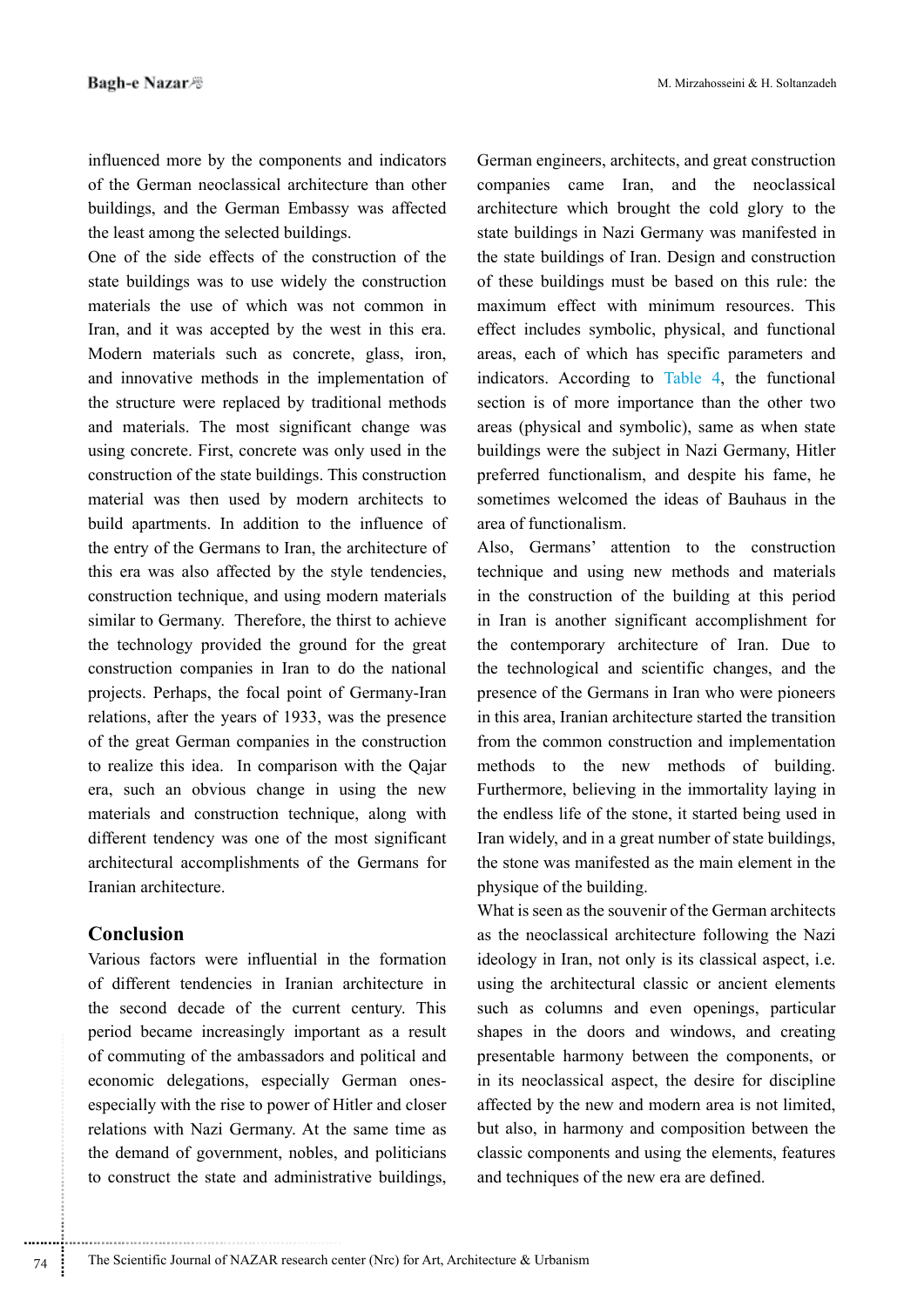influenced more by the components and indicators of the German neoclassical architecture than other buildings, and the German Embassy was affected the least among the selected buildings.

One of the side effects of the construction of the state buildings was to use widely the construction materials the use of which was not common in Iran, and it was accepted by the west in this era. Modern materials such as concrete, glass, iron, and innovative methods in the implementation of the structure were replaced by traditional methods and materials. The most significant change was using concrete. First, concrete was only used in the construction of the state buildings. This construction material was then used by modern architects to build apartments. In addition to the influence of the entry of the Germans to Iran, the architecture of this era was also affected by the style tendencies, construction technique, and using modern materials similar to Germany. Therefore, the thirst to achieve the technology provided the ground for the great construction companies in Iran to do the national projects. Perhaps, the focal point of Germany-Iran relations, after the years of 1933, was the presence of the great German companies in the construction to realize this idea. In comparison with the Qajar era, such an obvious change in using the new materials and construction technique, along with different tendency was one of the most significant architectural accomplishments of the Germans for Iranian architecture.

# **Conclusion**

Various factors were influential in the formation of different tendencies in Iranian architecture in the second decade of the current century. This period became increasingly important as a result of commuting of the ambassadors and political and economic delegations, especially German ones-<br>especially with the rise to power of Hitler and closer relations with Nazi Germany. At the same time as the demand of government, nobles, and politicians to construct the state and administrative buildings,

German engineers, architects, and great construction companies came Iran, and the neoclassical architecture which brought the cold glory to the state buildings in Nazi Germany was manifested in the state buildings of Iran. Design and construction of these buildings must be based on this rule: the maximum effect with minimum resources. This effect includes symbolic, physical, and functional areas, each of which has specific parameters and indicators. According to Table  $4$ , the functional section is of more importance than the other two areas (physical and symbolic), same as when state buildings were the subject in Nazi Germany, Hitler preferred functionalism, and despite his fame, he sometimes welcomed the ideas of Bauhaus in the area of functionalism

Also, Germans' attention to the construction technique and using new methods and materials in the construction of the building at this period in Iran is another significant accomplishment for the contemporary architecture of Iran. Due to the technological and scientific changes, and the presence of the Germans in Iran who were pioneers in this area, Iranian architecture started the transition from the common construction and implementation methods to the new methods of building. Furthermore, believing in the immortality laying in the endless life of the stone, it started being used in Iran widely, and in a great number of state buildings, the stone was manifested as the main element in the physique of the building.

What is seen as the souvenir of the German architects as the neoclassical architecture following the Nazi ideology in Iran, not only is its classical aspect, i.e. using the architectural classic or ancient elements such as columns and even openings, particular shapes in the doors and windows, and creating presentable harmony between the components, or in its neoclassical aspect, the desire for discipline affected by the new and modern area is not limited, but also, in harmony and composition between the classic components and using the elements, features and techniques of the new era are defined.

............................................................  $74$  The Scientific Journal of NAZAR research center (Nrc) for Art, Architecture & Urbanism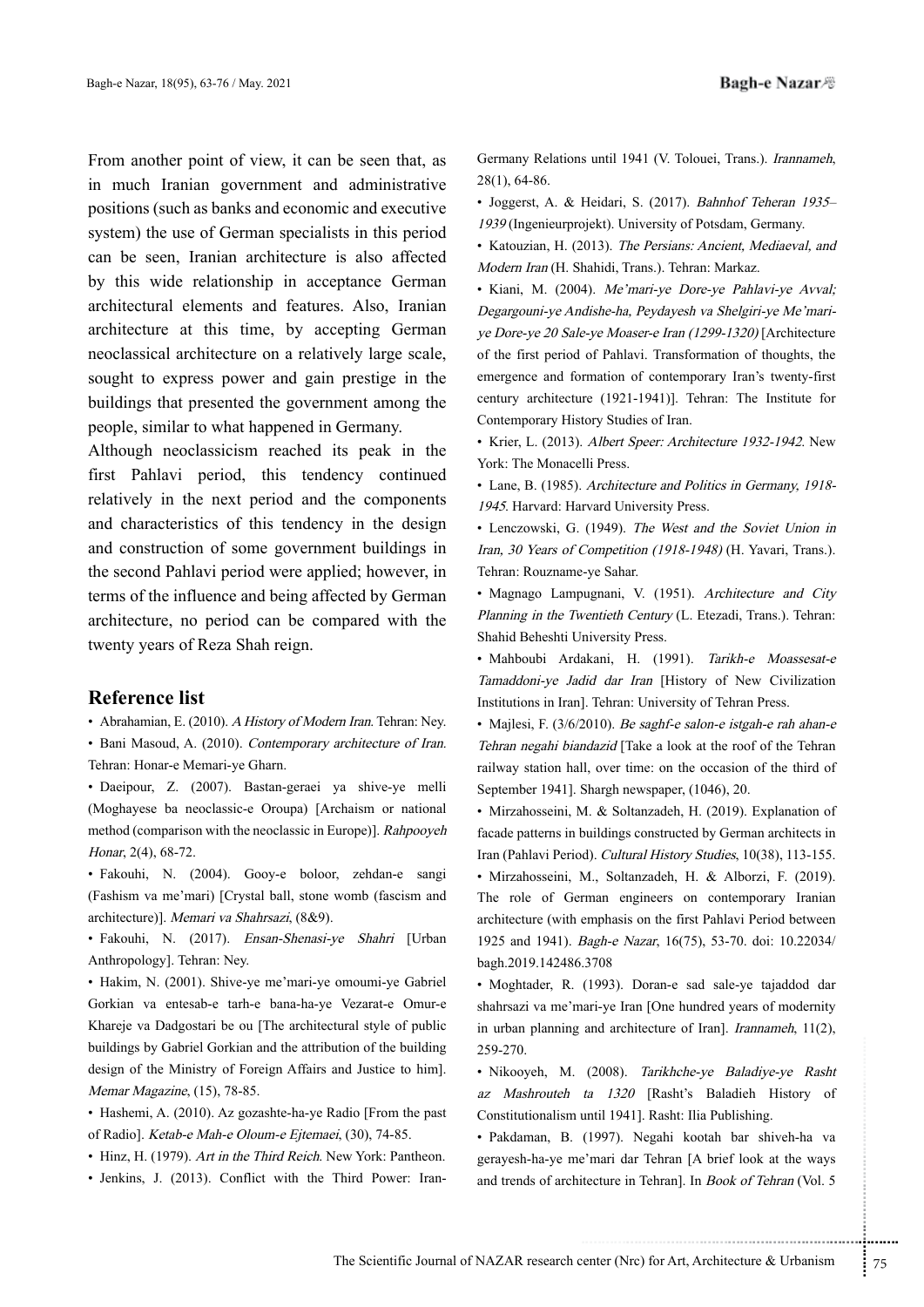From another point of view, it can be seen that, as in much Iranian government and administrative positions (such as banks and economic and executive system) the use of German specialists in this period can be seen, Iranian architecture is also affected by this wide relationship in acceptance German architectural elements and features. Also, Iranian architecture at this time, by accepting German neoclassical architecture on a relatively large scale, sought to express power and gain prestige in the buildings that presented the government among the people, similar to what happened in Germany.

Although neoclassicism reached its peak in the first Pahlavi period, this tendency continued relatively in the next period and the components and characteristics of this tendency in the design and construction of some government buildings in the second Pahlavi period were applied; however, in terms of the influence and being affected by German architecture, no period can be compared with the twenty years of Reza Shah reign.

## **Reference** list

· Abrahamian, E. (2010). A History of Modern Iran. Tehran: Ney.

• Bani Masoud, A. (2010). Contemporary architecture of Iran. Tehran: Honar-e Memari-ye Gharn.

• Daeipour, Z. (2007). Bastan-geraei ya shive-ye melli (Moghayese ba neoclassic-e Oroupa) [Archaism or national method (comparison with the neoclassic in Europe)]. Rahpooyeh Honar, 2(4), 68-72.

· Fakouhi, N. (2004). Gooy-e boloor, zehdan-e sangi (Fashism va me'mari) [Crystal ball, stone womb (fascism and architecture)]. Memari va Shahrsazi, (8&9).

· Fakouhi, N. (2017). Ensan-Shenasi-ye Shahri [Urban Anthropology]. Tehran: Ney.

Hakim, N. (2001). Shive-ye me'mari-ye omoumi-ye Gabriel Gorkian va entesab-e tarh-e bana-ha-ye Vezarat-e Omur-e Khareje va Dadgostari be ou [The architectural style of public buildings by Gabriel Gorkian and the attribution of the building design of the Ministry of Foreign Affairs and Justice to him]. Memar Magazine, (15), 78-85.

• Hashemi, A. (2010). Az gozashte-ha-ye Radio [From the past of Radio]. Ketab-e Mah-e Oloum-e Ejtemaei, (30), 74-85.

• Hinz, H. (1979). Art in the Third Reich. New York: Pantheon.

· Jenkins, J. (2013). Conflict with the Third Power: Iran-

28(1), 64-86.

• Joggerst, A. & Heidari, S. (2017). Bahnhof Teheran 1935-1939 (Ingenieurprojekt). University of Potsdam, Germany.

• Katouzian, H. (2013). The Persians: Ancient, Mediaeval, and Modern Iran (H. Shahidi, Trans.). Tehran: Markaz.

Sections until 1941 (V. Tolouei, Trans ). *Framameh,*<br>  $\frac{1}{2}$  32(1), 64-86.<br>  $\frac{1}{2}$  1981 (patientry) eigenst, A. & Heidari, S. (2017). *Hahahof Teheran 1935–1993* (Ingenieurprojekt). University of Potsdam, Germany-<br> • Kiani, M. (2004). Me'mari-ye-Dore-ye-Pahlavi-ye-Avval; ye Dore-ye 20 Sale-ye Moaser-e Iran (1299-1320) [Architecture Degargouni-ye Andishe-ha, Peydayesh va Shelgiri-ye Me'mariof the first period of Pahlavi. Transformation of thoughts, the emergence and formation of contemporary Iran's twenty-first century architecture (1921-1941)]. Tehran: The Institute for Contemporary History Studies of Iran.

• Krier, L. (2013). Albert Speer: Architecture 1932-1942. New York: The Monacelli Press.

• Lane, B. (1985). Architecture and Politics in Germany, 1918-1945. Harvard: Harvard University Press.

• Lenczowski, G. (1949). The West and the Soviet Union in Iran, 30 Years of Competition (1918-1948) (H. Yavari, Trans.). Tehran: Rouzname-ve Sahar.

• Magnago Lampugnani, V. (1951). Architecture and City Planning in the Twentieth Century (L. Etezadi, Trans.). Tehran: Shahid Beheshti University Press.

• Mahboubi Ardakani, H. (1991). Tarikh-e Moassesat-e Tamaddoni-ye Jadid dar Iran [History of New Civilization Institutions in Iran]. Tehran: University of Tehran Press.

• Majlesi, F. (3/6/2010). Be saghf-e salon-e istgah-e rah ahan-e Tehran negahi biandazid [Take a look at the roof of the Tehran railway station hall, over time: on the occasion of the third of September 1941]. Shargh newspaper, (1046), 20.

• Mirzahosseini, M. & Soltanzadeh, H. (2019). Explanation of facade patterns in buildings constructed by German architects in Iran (Pahlavi Period). Cultural History Studies, 10(38), 113-155.

• Mirzahosseini, M., Soltanzadeh, H. & Alborzi, F. (2019). The role of German engineers on contemporary Iranian architecture (with emphasis on the first Pahlavi Period between 1925 and 1941). *Bagh-e Nazar*, 16(75), 53-70. doi: 10.22034/ bagh.2019.142486.3708

• Moghtader, R. (1993). Doran-e sad sale-ye tajaddod dar shahrsazi va me'mari-ye Iran [One hundred years of modernity in urban planning and architecture of Iran]. *Irannameh*,  $11(2)$ , 259-270.

(2008). *Tarikhche-ye Baladiye-ye Rasht*<br>
ta 1320 [Rasht's Baladieh History of<br>
until 1941]. Rasht: Ilia Publishing.<br>
(1997). Negahi kootah bar shiveh-ha va<br>
"ani dar Tehran [A brief look at the ways<br>
itecture in Tehran]. • Nikooyeh, M. (2008). Tarikhche-ye Baladiye-ye Rasht az Mashrouteh ta 1320 [Rasht's Baladieh History of Constitutionalism until 19411. Rasht: Ilia Publishing.

• Pakdaman, B. (1997). Negahi kootah bar shiveh-ha va gerayesh-ha-ye me'mari dar Tehran [A brief look at the ways and trends of architecture in Tehran]. In *Book of Tehran* (Vol. 5)